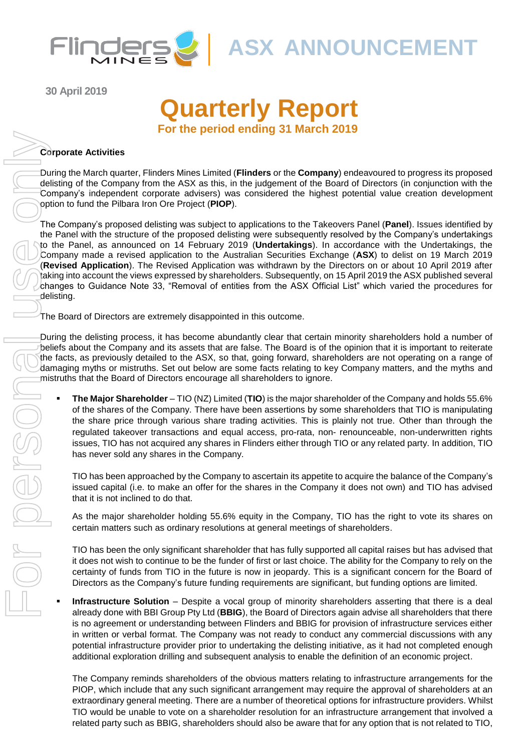

**30 April 2019**

# **Quarterly Report For the period ending 31 March 2019**

#### **Corporate Activities**

During the March quarter, Flinders Mines Limited (**Flinders** or the **Company**) endeavoured to progress its proposed delisting of the Company from the ASX as this, in the judgement of the Board of Directors (in conjunction with the Company's independent corporate advisers) was considered the highest potential value creation development option to fund the Pilbara Iron Ore Project (**PIOP**).

The Company's proposed delisting was subject to applications to the Takeovers Panel (**Panel**). Issues identified by the Panel with the structure of the proposed delisting were subsequently resolved by the Company's undertakings to the Panel, as announced on 14 February 2019 (**Undertakings**). In accordance with the Undertakings, the Company made a revised application to the Australian Securities Exchange (**ASX**) to delist on 19 March 2019 (**Revised Application**). The Revised Application was withdrawn by the Directors on or about 10 April 2019 after taking into account the views expressed by shareholders. Subsequently, on 15 April 2019 the ASX published several changes to Guidance Note 33, "Removal of entities from the ASX Official List" which varied the procedures for delisting.

The Board of Directors are extremely disappointed in this outcome.

During the delisting process, it has become abundantly clear that certain minority shareholders hold a number of beliefs about the Company and its assets that are false. The Board is of the opinion that it is important to reiterate the facts, as previously detailed to the ASX, so that, going forward, shareholders are not operating on a range of damaging myths or mistruths. Set out below are some facts relating to key Company matters, and the myths and mistruths that the Board of Directors encourage all shareholders to ignore.

▪ **The Major Shareholder** – TIO (NZ) Limited (**TIO**) is the major shareholder of the Company and holds 55.6% of the shares of the Company. There have been assertions by some shareholders that TIO is manipulating the share price through various share trading activities. This is plainly not true. Other than through the regulated takeover transactions and equal access, pro-rata, non- renounceable, non-underwritten rights issues, TIO has not acquired any shares in Flinders either through TIO or any related party. In addition, TIO has never sold any shares in the Company.

TIO has been approached by the Company to ascertain its appetite to acquire the balance of the Company's issued capital (i.e. to make an offer for the shares in the Company it does not own) and TIO has advised that it is not inclined to do that.

As the major shareholder holding 55.6% equity in the Company, TIO has the right to vote its shares on certain matters such as ordinary resolutions at general meetings of shareholders.

TIO has been the only significant shareholder that has fully supported all capital raises but has advised that it does not wish to continue to be the funder of first or last choice. The ability for the Company to rely on the certainty of funds from TIO in the future is now in jeopardy. This is a significant concern for the Board of Directors as the Company's future funding requirements are significant, but funding options are limited.

**Infrastructure Solution** – Despite a vocal group of minority shareholders asserting that there is a deal already done with BBI Group Pty Ltd (**BBIG**), the Board of Directors again advise all shareholders that there is no agreement or understanding between Flinders and BBIG for provision of infrastructure services either in written or verbal format. The Company was not ready to conduct any commercial discussions with any potential infrastructure provider prior to undertaking the delisting initiative, as it had not completed enough additional exploration drilling and subsequent analysis to enable the definition of an economic project.

The Company reminds shareholders of the obvious matters relating to infrastructure arrangements for the PIOP, which include that any such significant arrangement may require the approval of shareholders at an extraordinary general meeting. There are a number of theoretical options for infrastructure providers. Whilst TIO would be unable to vote on a shareholder resolution for an infrastructure arrangement that involved a related party such as BBIG, shareholders should also be aware that for any option that is not related to TIO,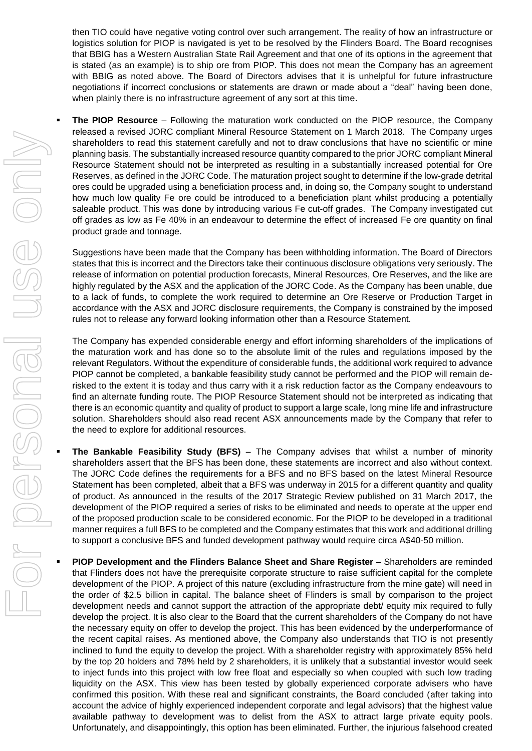then TIO could have negative voting control over such arrangement. The reality of how an infrastructure or logistics solution for PIOP is navigated is yet to be resolved by the Flinders Board. The Board recognises that BBIG has a Western Australian State Rail Agreement and that one of its options in the agreement that is stated (as an example) is to ship ore from PIOP. This does not mean the Company has an agreement with BBIG as noted above. The Board of Directors advises that it is unhelpful for future infrastructure negotiations if incorrect conclusions or statements are drawn or made about a "deal" having been done, when plainly there is no infrastructure agreement of any sort at this time.

**The PIOP Resource** – Following the maturation work conducted on the PIOP resource, the Company released a revised JORC compliant Mineral Resource Statement on 1 March 2018. The Company urges shareholders to read this statement carefully and not to draw conclusions that have no scientific or mine planning basis. The substantially increased resource quantity compared to the prior JORC compliant Mineral Resource Statement should not be interpreted as resulting in a substantially increased potential for Ore Reserves, as defined in the JORC Code. The maturation project sought to determine if the low-grade detrital ores could be upgraded using a beneficiation process and, in doing so, the Company sought to understand how much low quality Fe ore could be introduced to a beneficiation plant whilst producing a potentially saleable product. This was done by introducing various Fe cut-off grades. The Company investigated cut off grades as low as Fe 40% in an endeavour to determine the effect of increased Fe ore quantity on final product grade and tonnage.

Suggestions have been made that the Company has been withholding information. The Board of Directors states that this is incorrect and the Directors take their continuous disclosure obligations very seriously. The release of information on potential production forecasts, Mineral Resources, Ore Reserves, and the like are highly regulated by the ASX and the application of the JORC Code. As the Company has been unable, due to a lack of funds, to complete the work required to determine an Ore Reserve or Production Target in accordance with the ASX and JORC disclosure requirements, the Company is constrained by the imposed rules not to release any forward looking information other than a Resource Statement.

The Company has expended considerable energy and effort informing shareholders of the implications of the maturation work and has done so to the absolute limit of the rules and regulations imposed by the relevant Regulators. Without the expenditure of considerable funds, the additional work required to advance PIOP cannot be completed, a bankable feasibility study cannot be performed and the PIOP will remain derisked to the extent it is today and thus carry with it a risk reduction factor as the Company endeavours to find an alternate funding route. The PIOP Resource Statement should not be interpreted as indicating that there is an economic quantity and quality of product to support a large scale, long mine life and infrastructure solution. Shareholders should also read recent ASX announcements made by the Company that refer to the need to explore for additional resources.

- **The Bankable Feasibility Study (BFS)** The Company advises that whilst a number of minority shareholders assert that the BFS has been done, these statements are incorrect and also without context. The JORC Code defines the requirements for a BFS and no BFS based on the latest Mineral Resource Statement has been completed, albeit that a BFS was underway in 2015 for a different quantity and quality of product. As announced in the results of the 2017 Strategic Review published on 31 March 2017, the development of the PIOP required a series of risks to be eliminated and needs to operate at the upper end of the proposed production scale to be considered economic. For the PIOP to be developed in a traditional manner requires a full BFS to be completed and the Company estimates that this work and additional drilling to support a conclusive BFS and funded development pathway would require circa A\$40-50 million.
- **PIOP Development and the Flinders Balance Sheet and Share Register**  Shareholders are reminded that Flinders does not have the prerequisite corporate structure to raise sufficient capital for the complete development of the PIOP. A project of this nature (excluding infrastructure from the mine gate) will need in the order of \$2.5 billion in capital. The balance sheet of Flinders is small by comparison to the project development needs and cannot support the attraction of the appropriate debt/ equity mix required to fully develop the project. It is also clear to the Board that the current shareholders of the Company do not have the necessary equity on offer to develop the project. This has been evidenced by the underperformance of the recent capital raises. As mentioned above, the Company also understands that TIO is not presently inclined to fund the equity to develop the project. With a shareholder registry with approximately 85% held by the top 20 holders and 78% held by 2 shareholders, it is unlikely that a substantial investor would seek to inject funds into this project with low free float and especially so when coupled with such low trading liquidity on the ASX. This view has been tested by globally experienced corporate advisers who have confirmed this position. With these real and significant constraints, the Board concluded (after taking into account the advice of highly experienced independent corporate and legal advisors) that the highest value available pathway to development was to delist from the ASX to attract large private equity pools. Unfortunately, and disappointingly, this option has been eliminated. Further, the injurious falsehood created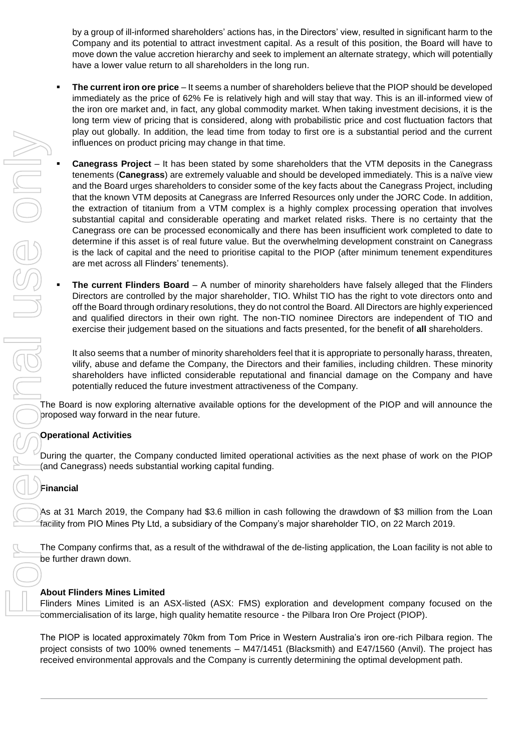by a group of ill-informed shareholders' actions has, in the Directors' view, resulted in significant harm to the Company and its potential to attract investment capital. As a result of this position, the Board will have to move down the value accretion hierarchy and seek to implement an alternate strategy, which will potentially have a lower value return to all shareholders in the long run.

- **The current iron ore price** It seems a number of shareholders believe that the PIOP should be developed immediately as the price of 62% Fe is relatively high and will stay that way. This is an ill-informed view of the iron ore market and, in fact, any global commodity market. When taking investment decisions, it is the long term view of pricing that is considered, along with probabilistic price and cost fluctuation factors that play out globally. In addition, the lead time from today to first ore is a substantial period and the current influences on product pricing may change in that time.
- **Canegrass Project** It has been stated by some shareholders that the VTM deposits in the Canegrass tenements (**Canegrass**) are extremely valuable and should be developed immediately. This is a naïve view and the Board urges shareholders to consider some of the key facts about the Canegrass Project, including that the known VTM deposits at Canegrass are Inferred Resources only under the JORC Code. In addition, the extraction of titanium from a VTM complex is a highly complex processing operation that involves substantial capital and considerable operating and market related risks. There is no certainty that the Canegrass ore can be processed economically and there has been insufficient work completed to date to determine if this asset is of real future value. But the overwhelming development constraint on Canegrass is the lack of capital and the need to prioritise capital to the PIOP (after minimum tenement expenditures are met across all Flinders' tenements). Free out of the company is the company in the company is current with the VTM deposites in the Company is consistent by a solution of the Company is current to the Company in the Company is current to the Company in the Co
	- **The current Flinders Board** A number of minority shareholders have falsely alleged that the Flinders Directors are controlled by the major shareholder, TIO. Whilst TIO has the right to vote directors onto and off the Board through ordinary resolutions, they do not control the Board. All Directors are highly experienced and qualified directors in their own right. The non-TIO nominee Directors are independent of TIO and exercise their judgement based on the situations and facts presented, for the benefit of **all** shareholders.

It also seems that a number of minority shareholders feel that it is appropriate to personally harass, threaten, vilify, abuse and defame the Company, the Directors and their families, including children. These minority shareholders have inflicted considerable reputational and financial damage on the Company and have potentially reduced the future investment attractiveness of the Company.

The Board is now exploring alternative available options for the development of the PIOP and will announce the proposed way forward in the near future.

#### **Operational Activities**

During the quarter, the Company conducted limited operational activities as the next phase of work on the PIOP (and Canegrass) needs substantial working capital funding.

#### **Financial**

As at 31 March 2019, the Company had \$3.6 million in cash following the drawdown of \$3 million from the Loan facility from PIO Mines Pty Ltd, a subsidiary of the Company's major shareholder TIO, on 22 March 2019.

The Company confirms that, as a result of the withdrawal of the de-listing application, the Loan facility is not able to be further drawn down.

#### **About Flinders Mines Limited**

Flinders Mines Limited is an ASX-listed (ASX: FMS) exploration and development company focused on the commercialisation of its large, high quality hematite resource - the Pilbara Iron Ore Project (PIOP).

The PIOP is located approximately 70km from Tom Price in Western Australia's iron ore-rich Pilbara region. The project consists of two 100% owned tenements – M47/1451 (Blacksmith) and E47/1560 (Anvil). The project has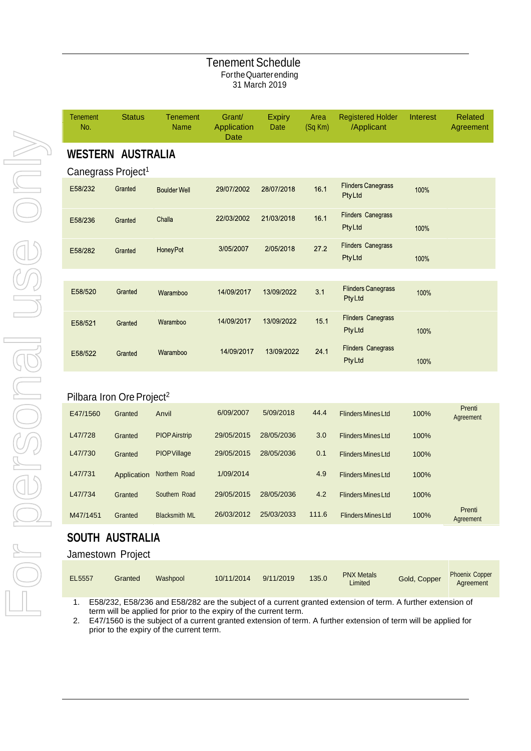#### Tenement Schedule FortheQuarterending 31 March 2019

| <b>Tenement</b><br>No. | <b>Status</b>                  | <b>Tenement</b><br><b>Name</b> | Grant/<br>Application<br>Date | <b>Expiry</b><br><b>Date</b> | Area<br>$(Sq$ Km $)$ | <b>Registered Holder</b><br>/Applicant     | Interest | <b>Related</b><br>Agreement |
|------------------------|--------------------------------|--------------------------------|-------------------------------|------------------------------|----------------------|--------------------------------------------|----------|-----------------------------|
|                        | <b>WESTERN AUSTRALIA</b>       |                                |                               |                              |                      |                                            |          |                             |
|                        | Canegrass Project <sup>1</sup> |                                |                               |                              |                      |                                            |          |                             |
| E58/232                | Granted                        | <b>Boulder Well</b>            | 29/07/2002                    | 28/07/2018                   | 16.1                 | <b>Flinders Canegrass</b><br>PtyLtd        | 100%     |                             |
| E58/236                | Granted                        | Challa                         | 22/03/2002                    | 21/03/2018                   | 16.1                 | <b>Flinders Canegrass</b><br>PtyLtd        | 100%     |                             |
| E58/282                | Granted                        | <b>HoneyPot</b>                | 3/05/2007                     | 2/05/2018                    | 27.2                 | <b>Flinders Canegrass</b><br><b>PtyLtd</b> | 100%     |                             |
|                        |                                |                                |                               |                              |                      |                                            |          |                             |
| E58/520                | Granted                        | Waramboo                       | 14/09/2017                    | 13/09/2022                   | 3.1                  | <b>Flinders Canegrass</b><br><b>PtyLtd</b> | 100%     |                             |
| E58/521                | Granted                        | Waramboo                       | 14/09/2017                    | 13/09/2022                   | 15.1                 | <b>Flinders Canegrass</b><br>PtyLtd        | 100%     |                             |
| E58/522                | Granted                        | Waramboo                       | 14/09/2017                    | 13/09/2022                   | 24.1                 | <b>Flinders Canegrass</b><br>PtyLtd        | 100%     |                             |
|                        |                                |                                |                               |                              |                      |                                            |          |                             |

### Pilbara Iron Ore Project<sup>2</sup>

| E47/1560 | Granted     | Anvil                | 6/09/2007  | 5/09/2018  | 44.4  | <b>Flinders Mines Ltd</b> | 100% | Prenti<br>Agreement |
|----------|-------------|----------------------|------------|------------|-------|---------------------------|------|---------------------|
| L47/728  | Granted     | <b>PIOP Airstrip</b> | 29/05/2015 | 28/05/2036 | 3.0   | <b>Flinders Mines Ltd</b> | 100% |                     |
| L47/730  | Granted     | <b>PIOP Village</b>  | 29/05/2015 | 28/05/2036 | 0.1   | <b>Flinders Mines Ltd</b> | 100% |                     |
| L47/731  | Application | Northern Road        | 1/09/2014  |            | 4.9   | <b>Flinders Mines Ltd</b> | 100% |                     |
| L47/734  | Granted     | Southern Road        | 29/05/2015 | 28/05/2036 | 4.2   | <b>Flinders Mines Ltd</b> | 100% |                     |
| M47/1451 | Granted     | <b>Blacksmith ML</b> | 26/03/2012 | 25/03/2033 | 111.6 | <b>Flinders Mines Ltd</b> | 100% | Prenti<br>Agreement |

### **SOUTH AUSTRALIA**

#### Jamestown Project

| <b>EL5557</b> | Granted | Washpool | 10/11/2014 | 9/11/2019 | 135.0 | <b>PNX Metals</b><br>Limited | Gold, Copper | <b>Phoenix Copper</b><br>Agreement |
|---------------|---------|----------|------------|-----------|-------|------------------------------|--------------|------------------------------------|
|---------------|---------|----------|------------|-----------|-------|------------------------------|--------------|------------------------------------|

1. E58/232, E58/236 and E58/282 are the subject of a current granted extension of term. A further extension of term will be applied for prior to the expiry of the current term.

2. E47/1560 is the subject of a current granted extension of term. A further extension of term will be applied for prior to the expiry of the current term.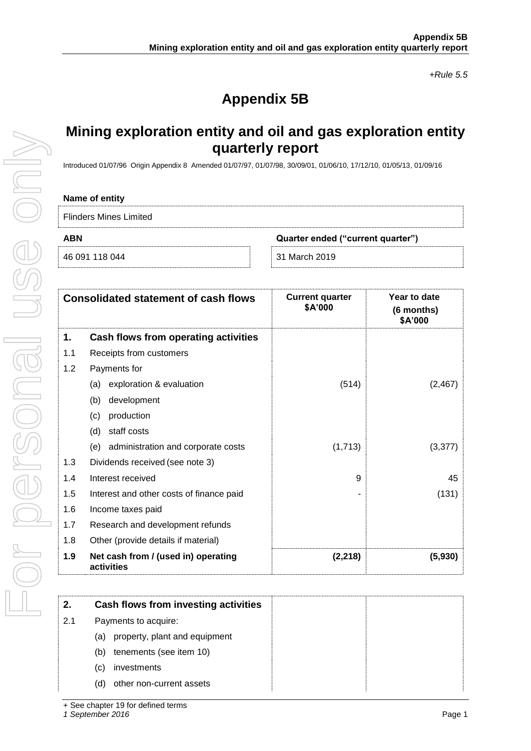*+Rule 5.5*

# **Appendix 5B**

## **Mining exploration entity and oil and gas exploration entity quarterly report**

Introduced 01/07/96 Origin Appendix 8 Amended 01/07/97, 01/07/98, 30/09/01, 01/06/10, 17/12/10, 01/05/13, 01/09/16

#### **Name of entity**

Flinders Mines Limited

For personal use only

JSE ONI

| ABN | Quarter ended ("current quarter") |
|-----|-----------------------------------|
|     |                                   |

46 091 118 044 31 March 2019

|     | <b>Consolidated statement of cash flows</b>       | <b>Current quarter</b><br>\$A'000 | Year to date<br>(6 months)<br>\$A'000 |
|-----|---------------------------------------------------|-----------------------------------|---------------------------------------|
| 1.  | Cash flows from operating activities              |                                   |                                       |
| 1.1 | Receipts from customers                           |                                   |                                       |
| 1.2 | Payments for                                      |                                   |                                       |
|     | exploration & evaluation<br>(a)                   | (514)                             | (2, 467)                              |
|     | development<br>(b)                                |                                   |                                       |
|     | production<br>(c)                                 |                                   |                                       |
|     | staff costs<br>(d)                                |                                   |                                       |
|     | administration and corporate costs<br>(e)         | (1,713)                           | (3, 377)                              |
| 1.3 | Dividends received (see note 3)                   |                                   |                                       |
| 1.4 | Interest received                                 | 9                                 | 45                                    |
| 1.5 | Interest and other costs of finance paid          | ۰                                 | (131)                                 |
| 1.6 | Income taxes paid                                 |                                   |                                       |
| 1.7 | Research and development refunds                  |                                   |                                       |
| 1.8 | Other (provide details if material)               |                                   |                                       |
| 1.9 | Net cash from / (used in) operating<br>activities | (2, 218)                          | (5.930)                               |

| 2.  | Cash flows from investing activities |  |
|-----|--------------------------------------|--|
| 2.1 | Payments to acquire:                 |  |
|     | property, plant and equipment<br>(a) |  |
|     | tenements (see item 10)<br>(b)       |  |
|     | investments<br>(C)                   |  |
|     | other non-current assets<br>(d)      |  |

+ See chapter 19 for defined terms

*1 September 2016* Page 1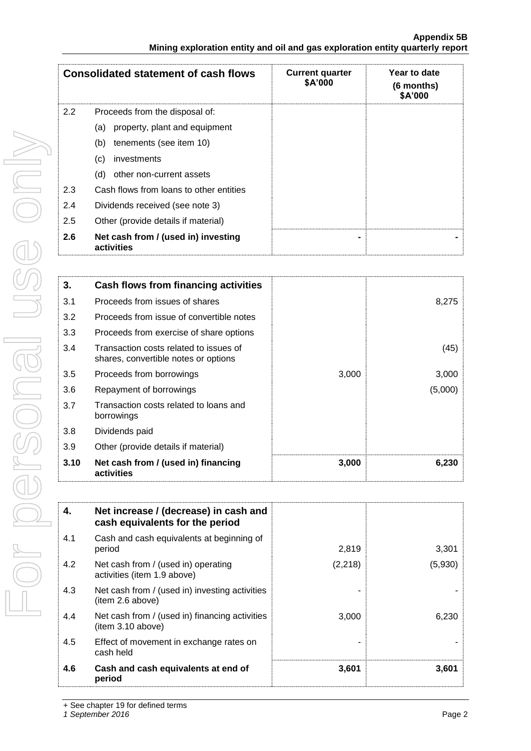| <b>Consolidated statement of cash flows</b> |                                                   | <b>Current quarter</b><br>\$A'000 | Year to date<br>(6 months)<br>\$A'000 |
|---------------------------------------------|---------------------------------------------------|-----------------------------------|---------------------------------------|
| 2.2                                         | Proceeds from the disposal of:                    |                                   |                                       |
|                                             | property, plant and equipment<br>(a)              |                                   |                                       |
|                                             | tenements (see item 10)<br>(b)                    |                                   |                                       |
|                                             | (c)<br>investments                                |                                   |                                       |
|                                             | other non-current assets<br>(d)                   |                                   |                                       |
| 2.3                                         | Cash flows from loans to other entities           |                                   |                                       |
| 2.4                                         | Dividends received (see note 3)                   |                                   |                                       |
| 2.5                                         | Other (provide details if material)               |                                   |                                       |
| 2.6                                         | Net cash from / (used in) investing<br>activities | -                                 |                                       |

| 3.   | Cash flows from financing activities                                           |       |         |
|------|--------------------------------------------------------------------------------|-------|---------|
| 3.1  | Proceeds from issues of shares                                                 |       | 8,275   |
| 3.2  | Proceeds from issue of convertible notes                                       |       |         |
| 3.3  | Proceeds from exercise of share options                                        |       |         |
| 3.4  | Transaction costs related to issues of<br>shares, convertible notes or options |       | (45)    |
| 3.5  | Proceeds from borrowings                                                       | 3,000 | 3,000   |
| 3.6  | Repayment of borrowings                                                        |       | (5,000) |
| 3.7  | Transaction costs related to loans and<br>borrowings                           |       |         |
| 3.8  | Dividends paid                                                                 |       |         |
| 3.9  | Other (provide details if material)                                            |       |         |
| 3.10 | Net cash from / (used in) financing<br>activities                              | 3,000 | 6,230   |

| 4.  | Net increase / (decrease) in cash and<br>cash equivalents for the period |          |         |
|-----|--------------------------------------------------------------------------|----------|---------|
| 4.1 | Cash and cash equivalents at beginning of<br>period                      | 2,819    | 3,301   |
| 4.2 | Net cash from / (used in) operating<br>activities (item 1.9 above)       | (2, 218) | (5,930) |
| 4.3 | Net cash from / (used in) investing activities<br>(item 2.6 above)       |          |         |
| 4.4 | Net cash from / (used in) financing activities<br>(item 3.10 above)      | 3,000    | 6,230   |
| 4.5 | Effect of movement in exchange rates on<br>cash held                     |          |         |
| 4.6 | Cash and cash equivalents at end of<br>period                            | 3,601    | 3,601   |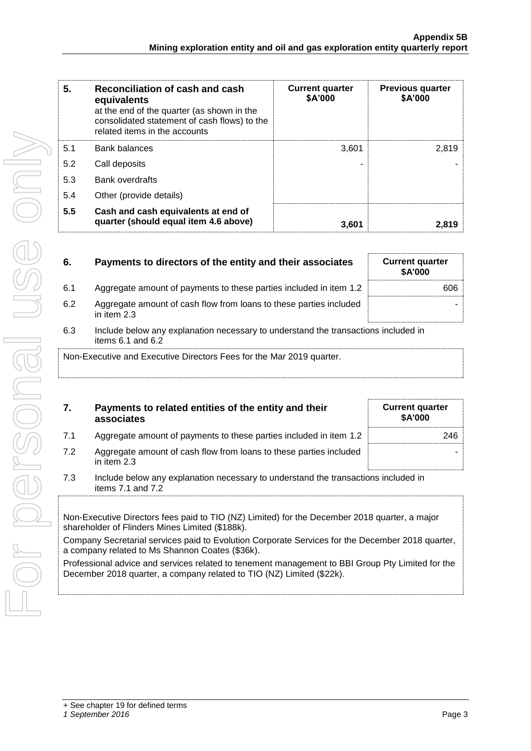| 5.  | Reconciliation of cash and cash<br>equivalents<br>at the end of the quarter (as shown in the<br>consolidated statement of cash flows) to the<br>related items in the accounts | <b>Current quarter</b><br>\$A'000 | <b>Previous quarter</b><br>\$A'000 |
|-----|-------------------------------------------------------------------------------------------------------------------------------------------------------------------------------|-----------------------------------|------------------------------------|
| 5.1 | <b>Bank balances</b>                                                                                                                                                          | 3.601                             | 2.819                              |
| 5.2 | Call deposits                                                                                                                                                                 |                                   |                                    |
| 5.3 | <b>Bank overdrafts</b>                                                                                                                                                        |                                   |                                    |
| 5.4 | Other (provide details)                                                                                                                                                       |                                   |                                    |
| 5.5 | Cash and cash equivalents at end of<br>quarter (should equal item 4.6 above)                                                                                                  | 3,601                             | 2,819                              |

| 6.  | Payments to directors of the entity and their associates                                                | <b>Current quarter</b><br><b>\$A'000</b> |
|-----|---------------------------------------------------------------------------------------------------------|------------------------------------------|
| 6.1 | Aggregate amount of payments to these parties included in item 1.2                                      | 606                                      |
| 6.2 | Aggregate amount of cash flow from loans to these parties included<br>in item 2.3                       |                                          |
| 6.3 | Include below any explanation necessary to understand the transactions included in<br>items 6.1 and 6.2 |                                          |
|     | Non-Executive and Executive Directors Fees for the Mar 2019 quarter.                                    |                                          |

|    | Payments to related entities of the entity and their<br>associates | <b>Current quarter</b><br><b>\$A'000</b> |
|----|--------------------------------------------------------------------|------------------------------------------|
| 71 | Aggregate amount of payments to these parties included in item 1.2 | 246                                      |

| 7.2 | Aggregate amount of cash flow from loans to these parties included<br>in item $2.3$ |
|-----|-------------------------------------------------------------------------------------|
|     |                                                                                     |

| 7.3 | Include below any explanation necessary to understand the transactions included in |  |  |
|-----|------------------------------------------------------------------------------------|--|--|
|     | items $7.1$ and $7.2$                                                              |  |  |

Non-Executive Directors fees paid to TIO (NZ) Limited) for the December 2018 quarter, a major shareholder of Flinders Mines Limited (\$188k).

Company Secretarial services paid to Evolution Corporate Services for the December 2018 quarter, a company related to Ms Shannon Coates (\$36k).

Professional advice and services related to tenement management to BBI Group Pty Limited for the December 2018 quarter, a company related to TIO (NZ) Limited (\$22k).

| L                          |
|----------------------------|
|                            |
|                            |
| ١<br>I                     |
| l<br>$\overline{\text{O}}$ |
| $\bigcirc$                 |

-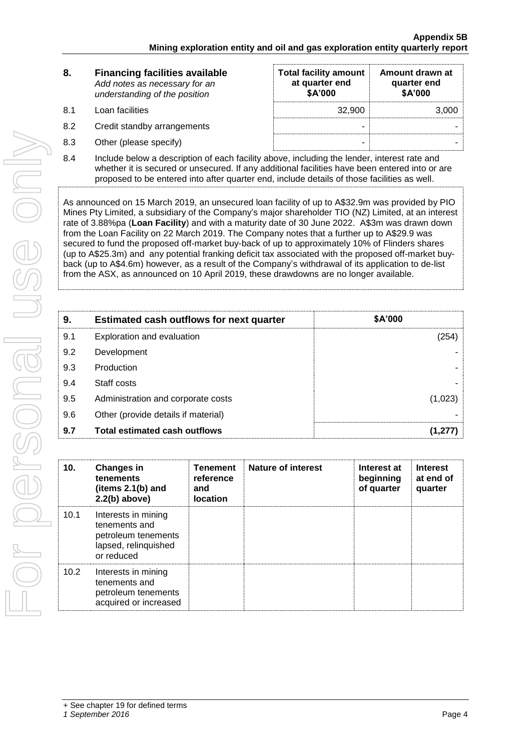| 8.        | <b>Financing facilities available</b><br>Add notes as necessary for an<br>understanding of the position | <b>Total facility amount</b><br>at quarter end<br>\$A'000 | Amount drawn at<br>quarter end<br>\$A'000 |
|-----------|---------------------------------------------------------------------------------------------------------|-----------------------------------------------------------|-------------------------------------------|
| <b>81</b> | Loan facilities                                                                                         | 32,900                                                    | 3,000                                     |
| 8.2       | Credit standby arrangements                                                                             |                                                           |                                           |
| 8.3       | Other (please specify)                                                                                  |                                                           |                                           |

8.4 Include below a description of each facility above, including the lender, interest rate and whether it is secured or unsecured. If any additional facilities have been entered into or are proposed to be entered into after quarter end, include details of those facilities as well.

As announced on 15 March 2019, an unsecured loan facility of up to A\$32.9m was provided by PIO Mines Pty Limited, a subsidiary of the Company's major shareholder TIO (NZ) Limited, at an interest rate of 3.88%pa (**Loan Facility**) and with a maturity date of 30 June 2022. A\$3m was drawn down from the Loan Facility on 22 March 2019. The Company notes that a further up to A\$29.9 was secured to fund the proposed off-market buy-back of up to approximately 10% of Flinders shares (up to A\$25.3m) and any potential franking deficit tax associated with the proposed off-market buyback (up to A\$4.6m) however, as a result of the Company's withdrawal of its application to de-list from the ASX, as announced on 10 April 2019, these drawdowns are no longer available.

| 9.  | <b>Estimated cash outflows for next quarter</b> | \$A'000 |
|-----|-------------------------------------------------|---------|
| 9.1 | Exploration and evaluation                      | (254)   |
| 9.2 | Development                                     |         |
| 9.3 | Production                                      |         |
| 9.4 | Staff costs                                     |         |
| 9.5 | Administration and corporate costs              | (1,023) |
| 9.6 | Other (provide details if material)             |         |
| 9.7 | <b>Total estimated cash outflows</b>            |         |

| 10.               | <b>Changes in</b><br>tenements<br>(items $2.1(b)$ and<br>$2.2(b)$ above)                          | <b>Tenement</b><br>reference<br>and<br><b>location</b> | <b>Nature of interest</b> | Interest at<br>beginning<br>of quarter | <b>Interest</b><br>at end of<br>quarter |
|-------------------|---------------------------------------------------------------------------------------------------|--------------------------------------------------------|---------------------------|----------------------------------------|-----------------------------------------|
| 10.1              | Interests in mining<br>tenements and<br>petroleum tenements<br>lapsed, relinquished<br>or reduced |                                                        |                           |                                        |                                         |
| 10.2 <sub>1</sub> | Interests in mining<br>tenements and<br>petroleum tenements<br>acquired or increased              |                                                        |                           |                                        |                                         |